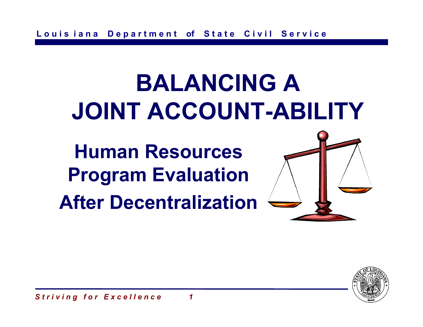# **BALANCING A JOINT ACCOUNT-ABILITY**

**Human Resources Program Evaluation After Decentralization**



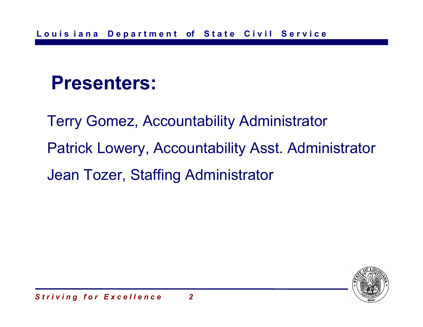#### **Presenters:**

Terry Gomez, Accountability Administrator Patrick Lowery, Accountability Asst. Administrator Jean Tozer, Staffing Administrator

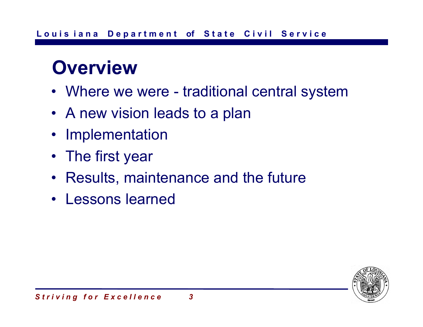#### **Overview**

- Where we were traditional central system
- A new vision leads to a plan
- Implementation
- The first year
- Results, maintenance and the future
- Lessons learned

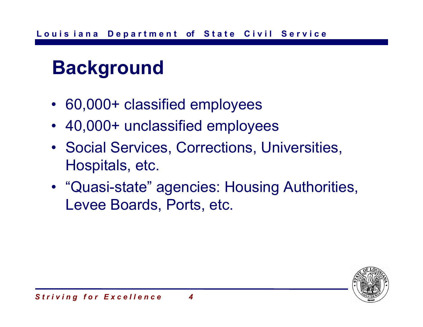# **Background**

- 60,000+ classified employees
- 40,000+ unclassified employees
- Social Services, Corrections, Universities, Hospitals, etc.
- "Quasi-state" agencies: Housing Authorities, Levee Boards, Ports, etc.

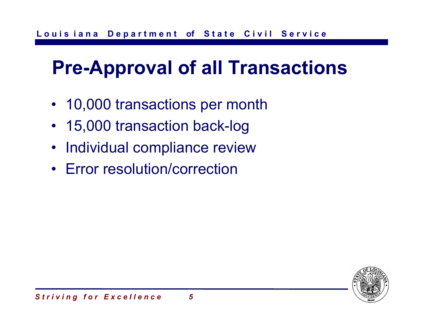# **Pre-Approval of all Transactions**

- 10,000 transactions per month
- 15,000 transaction back-log
- Individual compliance review
- Error resolution/correction

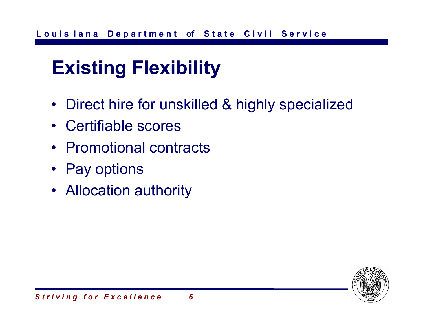# **Existing Flexibility**

- Direct hire for unskilled & highly specialized
- Certifiable scores
- Promotional contracts
- Pay options
- Allocation authority

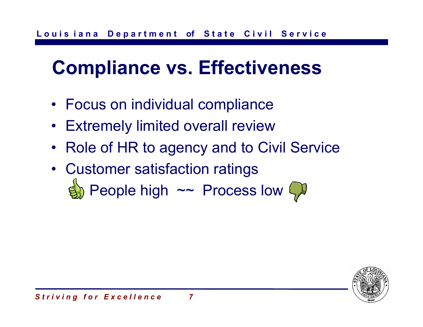# **Compliance vs. Effectiveness**

- Focus on individual compliance
- Extremely limited overall review
- Role of HR to agency and to Civil Service
- Customer satisfaction ratings  $\eta$  People high  $\sim$  Process low  $\mathcal{P}$

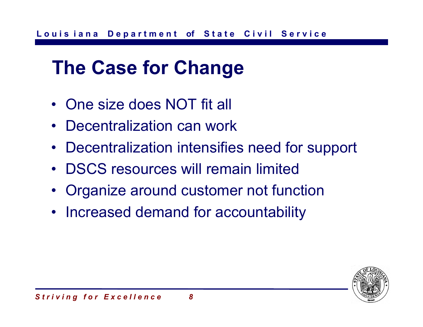# **The Case for Change**

- One size does NOT fit all
- Decentralization can work
- Decentralization intensifies need for support
- DSCS resources will remain limited
- •Organize around customer not function
- Increased demand for accountability

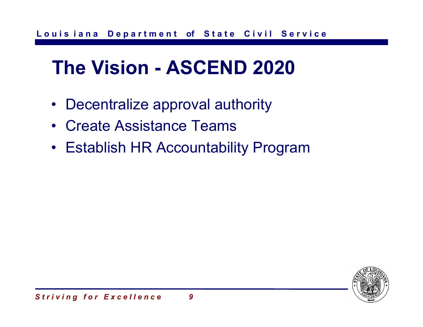# **The Vision - ASCEND 2020**

- Decentralize approval authority
- Create Assistance Teams
- Establish HR Accountability Program

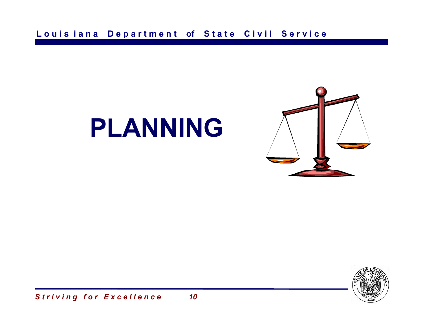

# **PLANNING**

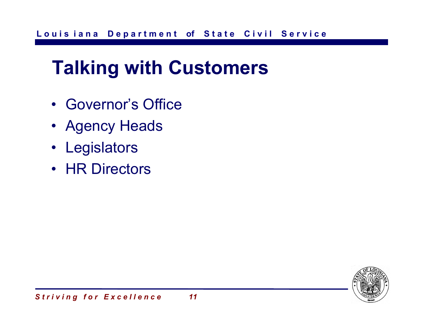## **Talking with Customers**

- Governor's Office
- Agency Heads
- Legislators
- HR Directors

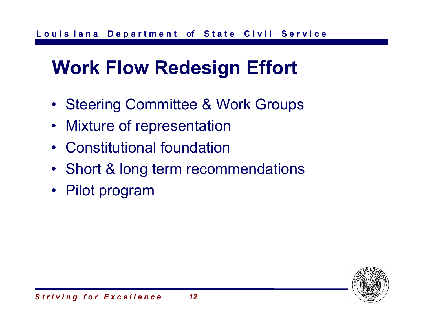# **Work Flow Redesign Effort**

- Steering Committee & Work Groups
- Mixture of representation
- Constitutional foundation
- Short & long term recommendations
- Pilot program

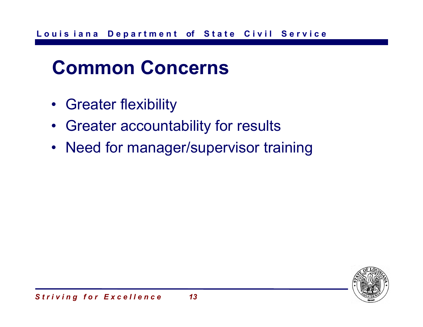## **Common Concerns**

- Greater flexibility
- Greater accountability for results
- Need for manager/supervisor training

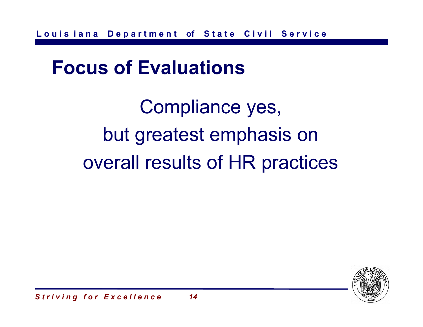#### **Focus of Evaluations**

Compliance yes, but greatest emphasis on overall results of HR practices

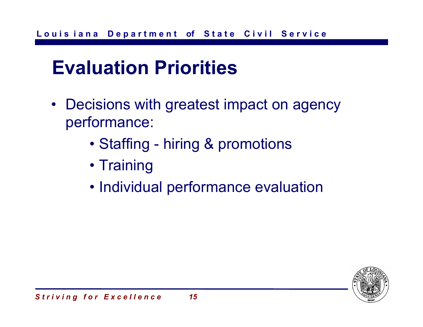## **Evaluation Priorities**

- Decisions with greatest impact on agency performance:
	- Staffing hiring & promotions
	- Training
	- Individual performance evaluation

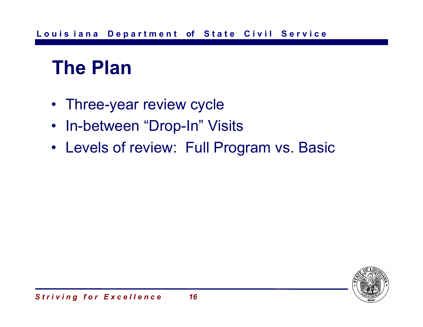#### **The Plan**

- Three-year review cycle
- In-between "Drop-In" Visits
- Levels of review: Full Program vs. Basic

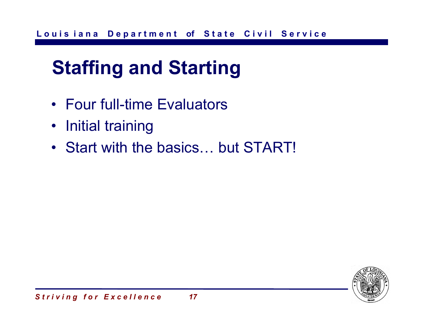# **Staffing and Starting**

- Four full-time Evaluators
- Initial training
- Start with the basics… but START!

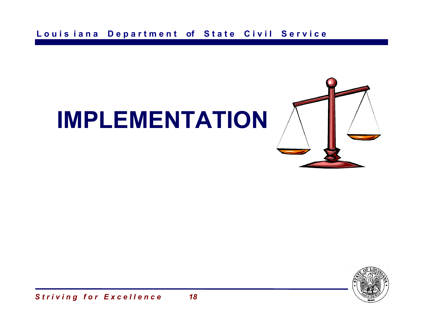# **IMPLEMENTATION**

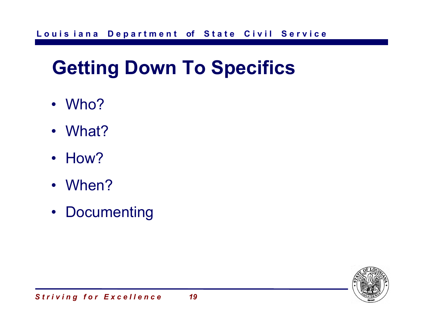# **Getting Down To Specifics**

- Who?
- What?
- How?
- When?
- Documenting

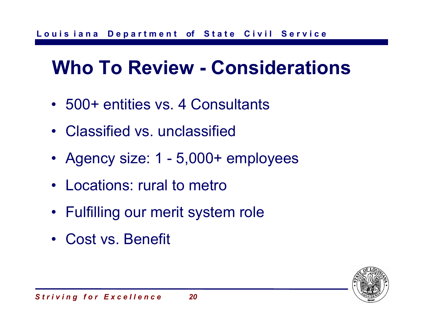## **Who To Review - Considerations**

- 500+ entities vs. 4 Consultants
- Classified vs. unclassified
- Agency size: 1 5,000+ employees
- Locations: rural to metro
- Fulfilling our merit system role
- Cost vs. Benefit

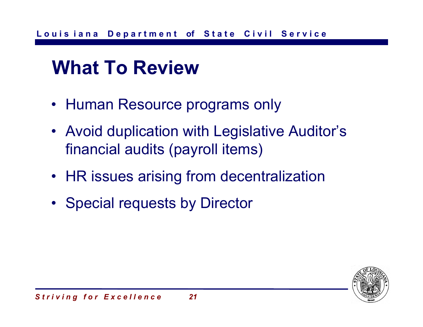#### **What To Review**

- Human Resource programs only
- Avoid duplication with Legislative Auditor's financial audits (payroll items)
- HR issues arising from decentralization
- Special requests by Director

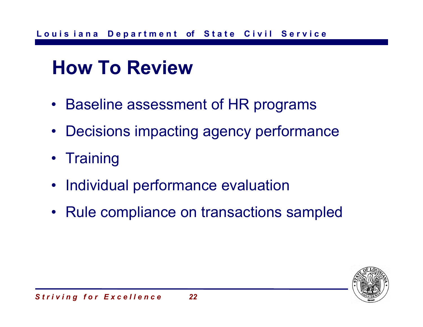#### **How To Review**

- Baseline assessment of HR programs
- Decisions impacting agency performance
- Training
- Individual performance evaluation
- Rule compliance on transactions sampled

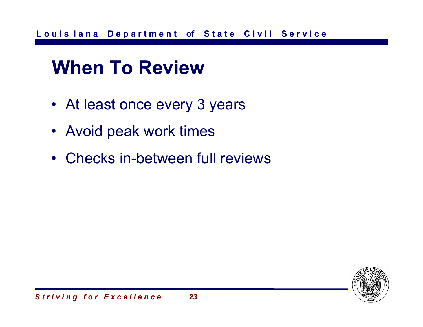#### **When To Review**

- At least once every 3 years
- Avoid peak work times
- Checks in-between full reviews

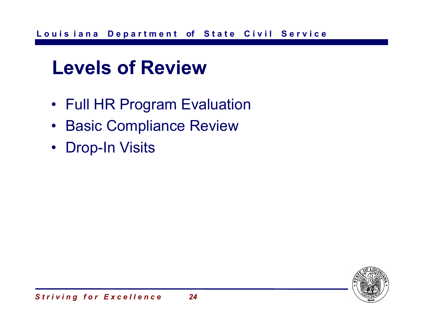#### **Levels of Review**

- Full HR Program Evaluation
- Basic Compliance Review
- Drop-In Visits

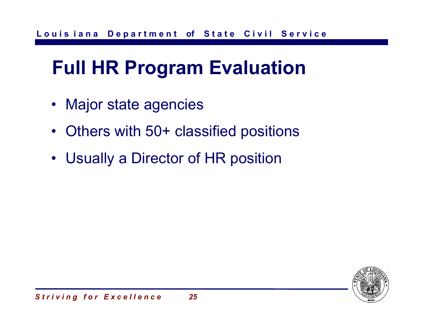# **Full HR Program Evaluation**

- Major state agencies
- Others with 50+ classified positions
- Usually a Director of HR position

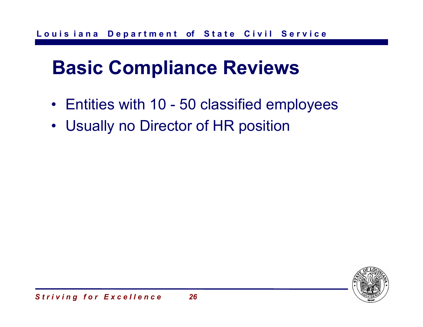# **Basic Compliance Reviews**

- Entities with 10 50 classified employees
- Usually no Director of HR position

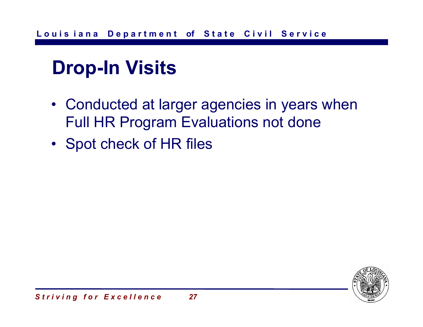# **Drop-In Visits**

- Conducted at larger agencies in years when Full HR Program Evaluations not done
- Spot check of HR files

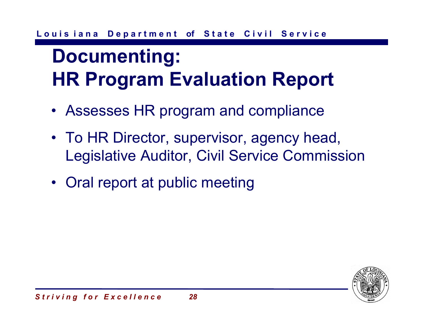# **Documenting: HR Program Evaluation Report**

- Assesses HR program and compliance
- To HR Director, supervisor, agency head, Legislative Auditor, Civil Service Commission
- Oral report at public meeting

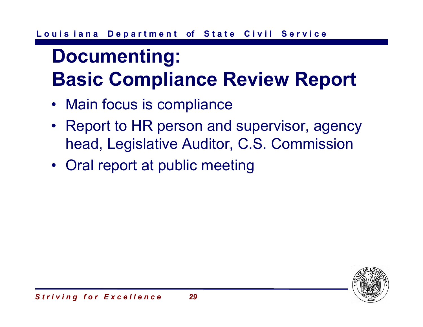# **Documenting: Basic Compliance Review Report**

- Main focus is compliance
- Report to HR person and supervisor, agency head, Legislative Auditor, C.S. Commission
- Oral report at public meeting

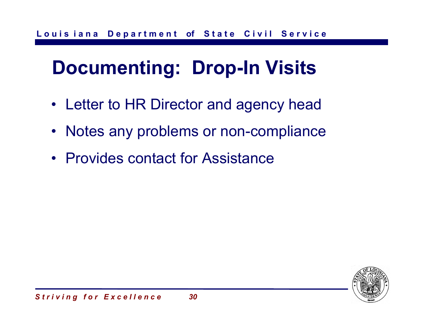# **Documenting: Drop-In Visits**

- Letter to HR Director and agency head
- Notes any problems or non-compliance
- Provides contact for Assistance

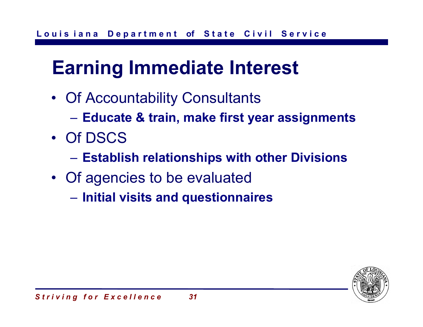# **Earning Immediate Interest**

- Of Accountability Consultants
	- **Educate & train, make first year assignments**
- Of DSCS
	- **Establish relationships with other Divisions**
- Of agencies to be evaluated
	- **Initial visits and questionnaires**

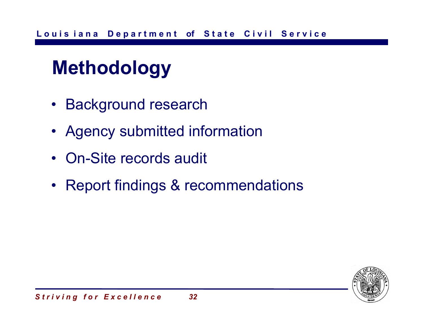# **Methodology**

- Background research
- Agency submitted information
- On-Site records audit
- Report findings & recommendations

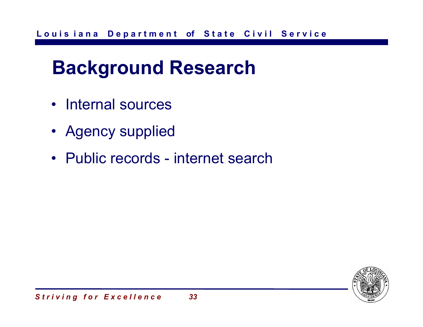#### **Background Research**

- Internal sources
- Agency supplied
- Public records internet search

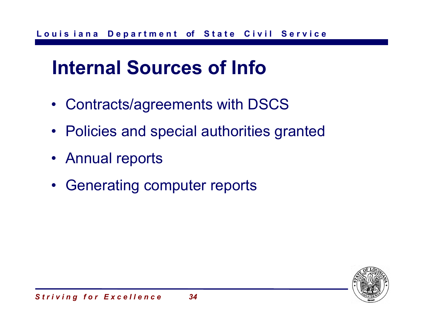#### **Internal Sources of Info**

- Contracts/agreements with DSCS
- Policies and special authorities granted
- Annual reports
- Generating computer reports

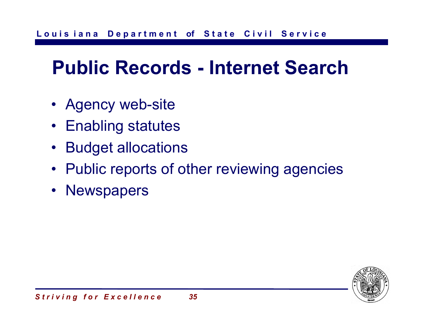## **Public Records - Internet Search**

- Agency web-site
- Enabling statutes
- Budget allocations
- Public reports of other reviewing agencies
- Newspapers

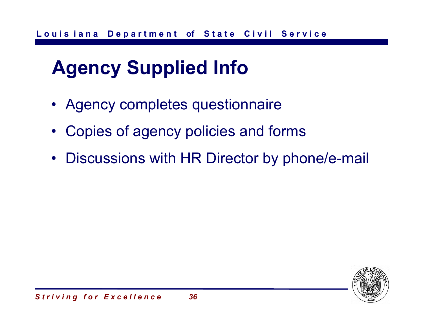# **Agency Supplied Info**

- Agency completes questionnaire
- •Copies of agency policies and forms
- Discussions with HR Director by phone/e-mail

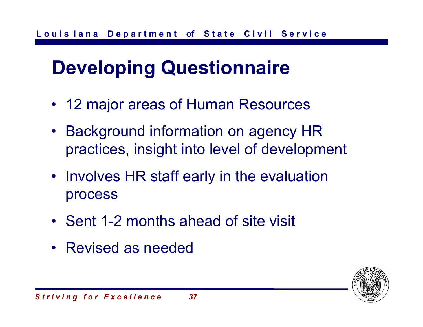# **Developing Questionnaire**

- 12 major areas of Human Resources
- Background information on agency HR practices, insight into level of development
- Involves HR staff early in the evaluation process
- Sent 1-2 months ahead of site visit
- Revised as needed

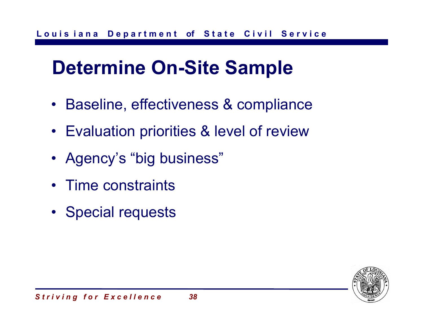# **Determine On-Site Sample**

- Baseline, effectiveness & compliance
- Evaluation priorities & level of review
- Agency's "big business"
- Time constraints
- Special requests

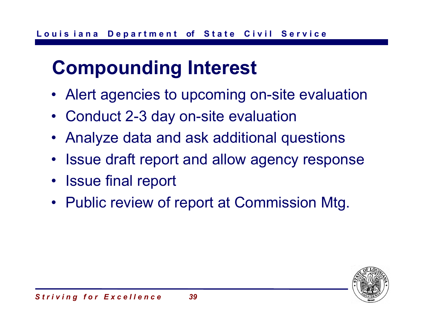# **Compounding Interest**

- Alert agencies to upcoming on-site evaluation
- Conduct 2-3 day on-site evaluation
- Analyze data and ask additional questions
- Issue draft report and allow agency response
- Issue final report
- Public review of report at Commission Mtg.

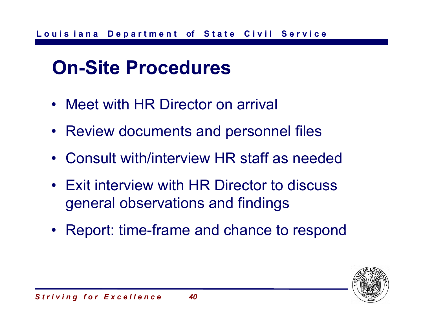# **On-Site Procedures**

- Meet with HR Director on arrival
- Review documents and personnel files
- Consult with/interview HR staff as needed
- Exit interview with HR Director to discuss general observations and findings
- Report: time-frame and chance to respond

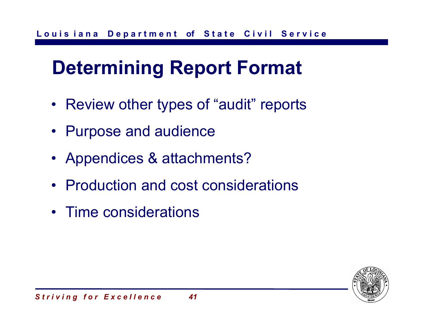# **Determining Report Format**

- Review other types of "audit" reports
- Purpose and audience
- Appendices & attachments?
- Production and cost considerations
- Time considerations

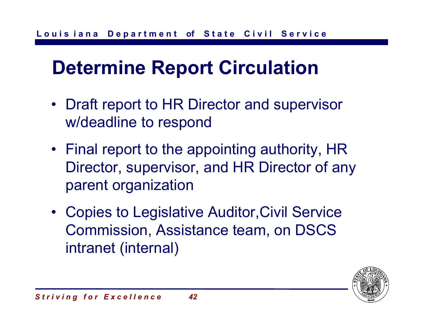# **Determine Report Circulation**

- Draft report to HR Director and supervisor w/deadline to respond
- Final report to the appointing authority, HR Director, supervisor, and HR Director of any parent organization
- Copies to Legislative Auditor,Civil Service Commission, Assistance team, on DSCS intranet (internal)

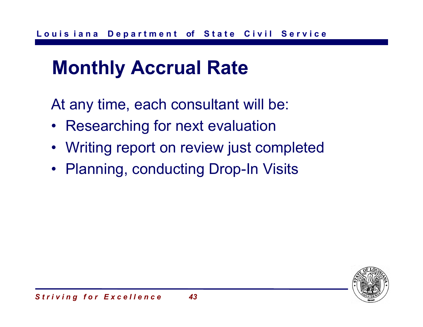#### **Monthly Accrual Rate**

At any time, each consultant will be:

- Researching for next evaluation
- Writing report on review just completed
- Planning, conducting Drop-In Visits

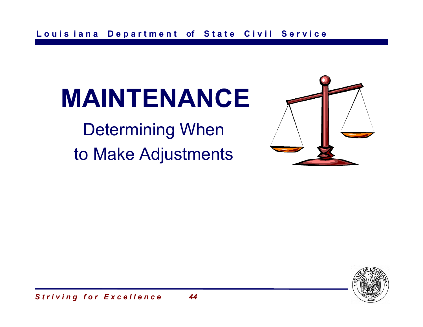# **MAINTENANCE**

Determining When to Make Adjustments



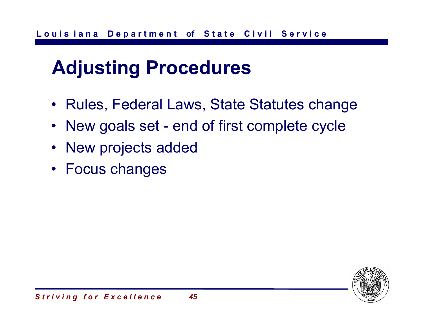#### **Adjusting Procedures**

- Rules, Federal Laws, State Statutes change
- New goals set end of first complete cycle
- New projects added
- Focus changes

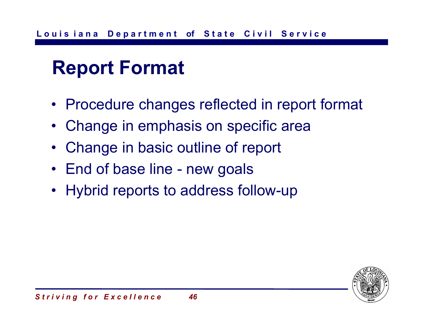#### **Report Format**

- Procedure changes reflected in report format
- Change in emphasis on specific area
- Change in basic outline of report
- End of base line new goals
- Hybrid reports to address follow-up

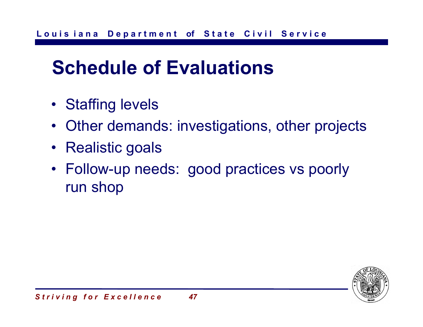## **Schedule of Evaluations**

- Staffing levels
- Other demands: investigations, other projects
- Realistic goals
- Follow-up needs: good practices vs poorly run shop

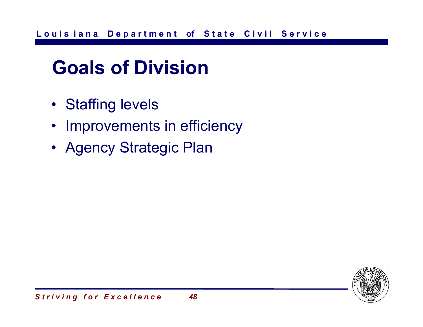# **Goals of Division**

- Staffing levels
- Improvements in efficiency
- Agency Strategic Plan

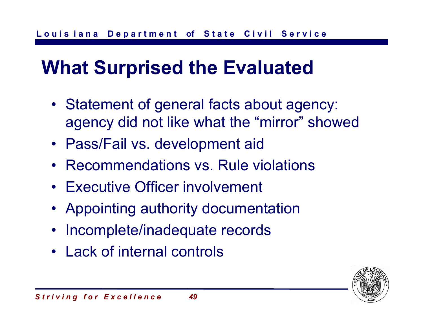# **What Surprised the Evaluated**

- Statement of general facts about agency: agency did not like what the "mirror" showed
- Pass/Fail vs. development aid
- Recommendations vs. Rule violations
- Executive Officer involvement
- Appointing authority documentation
- Incomplete/inadequate records
- Lack of internal controls

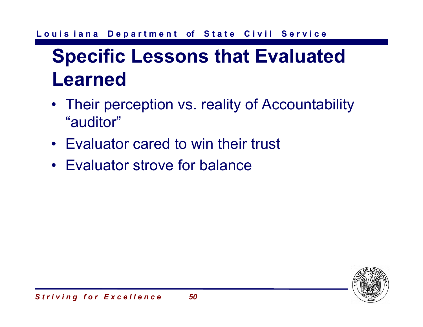# **Specific Lessons that Evaluated Learned**

- Their perception vs. reality of Accountability "auditor"
- Evaluator cared to win their trust
- Evaluator strove for balance

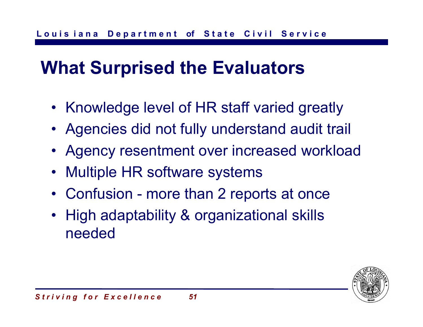#### **What Surprised the Evaluators**

- Knowledge level of HR staff varied greatly
- Agencies did not fully understand audit trail
- Agency resentment over increased workload
- $\bullet$ Multiple HR software systems
- Confusion more than 2 reports at once
- • High adaptability & organizational skills needed

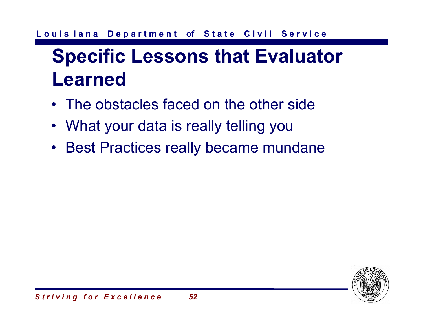# **Specific Lessons that Evaluator Learned**

- The obstacles faced on the other side
- What your data is really telling you
- Best Practices really became mundane

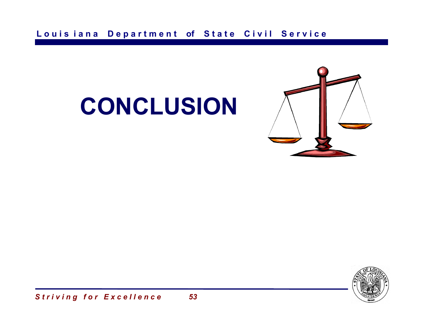

# **CONCLUSION**

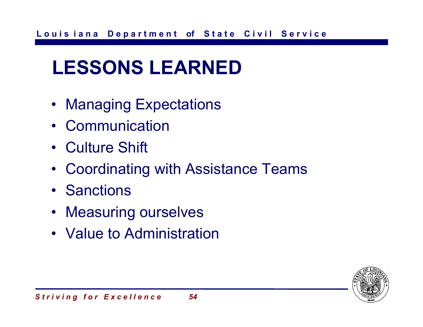# **LESSONS LEARNED**

- Managing Expectations
- Communication
- Culture Shift
- Coordinating with Assistance Teams
- Sanctions
- Measuring ourselves
- Value to Administration

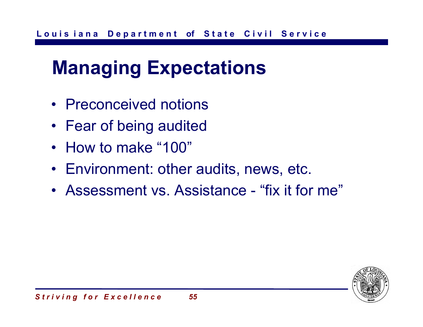## **Managing Expectations**

- Preconceived notions
- Fear of being audited
- How to make "100"
- Environment: other audits, news, etc.
- Assessment vs. Assistance "fix it for me"

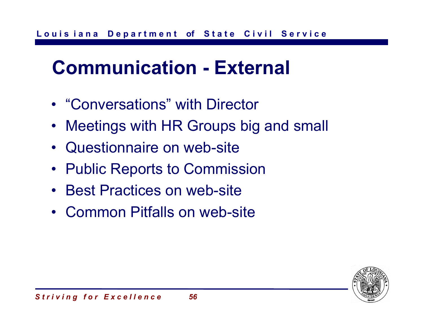# **Communication - External**

- •"Conversations" with Director
- Meetings with HR Groups big and small
- Questionnaire on web-site
- Public Reports to Commission
- Best Practices on web-site
- Common Pitfalls on web-site

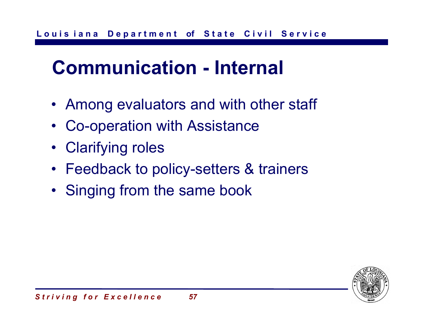## **Communication - Internal**

- Among evaluators and with other staff
- Co-operation with Assistance
- Clarifying roles
- Feedback to policy-setters & trainers
- Singing from the same book

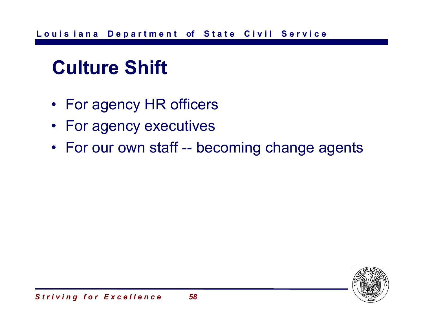# **Culture Shift**

- For agency HR officers
- For agency executives
- For our own staff -- becoming change agents

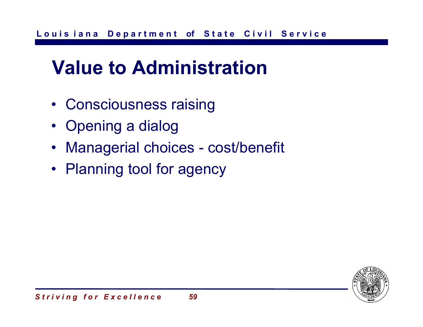#### **Value to Administration**

- Consciousness raising
- Opening a dialog
- Managerial choices cost/benefit
- Planning tool for agency

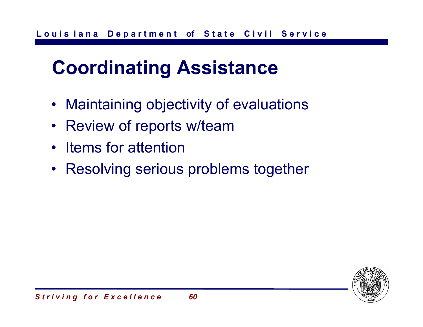# **Coordinating Assistance**

- Maintaining objectivity of evaluations
- Review of reports w/team
- Items for attention
- Resolving serious problems together

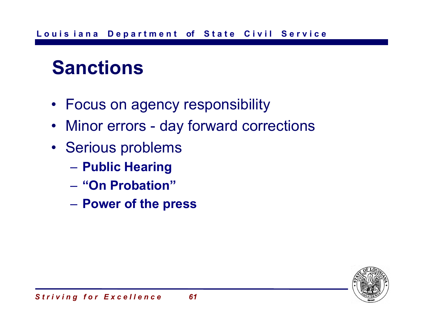# **Sanctions**

- Focus on agency responsibility
- Minor errors day forward corrections
- Serious problems
	- **Public Hearing**
	- **"On Probation"**
	- **Power of the press**

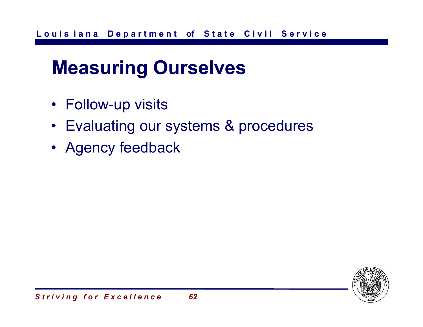## **Measuring Ourselves**

- Follow-up visits
- Evaluating our systems & procedures
- Agency feedback

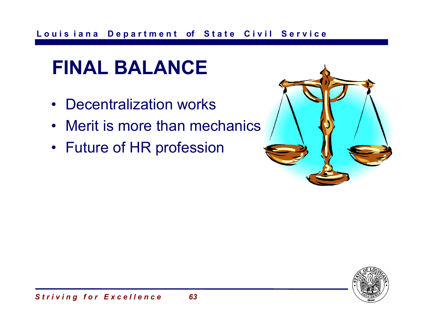# **FINAL BALANCE**

- Decentralization works
- Merit is more than mechanics
- Future of HR profession